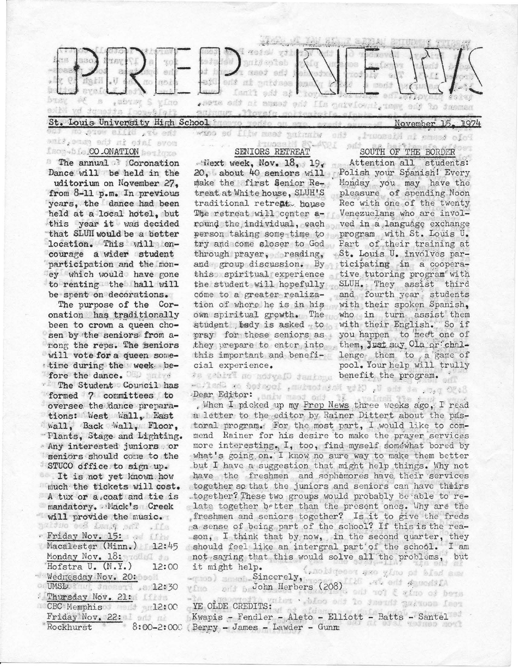

nove late in the game. Ind Isog-bio.CO.ONATION besides

<sup>8</sup> The annual Coronation Dance will be held in the uditorium on November 27. from 8-11 p.m. In previous years, the dance had been held at a local hotel, but this year it was decided that SLUII would be a better location. This will encourage a wider student participation and the money which would have gone to renting the hall will be spent on decorations.

The purpose of the Coronation has traditionally been to crown a queen chosen by the seniors from among the reps. The seniors will vote for a queen sometime during the week before the dance. The Student Council has formed 7 committees to oversee the dance preparations: West Wall, East wall, Back Wall, Floor, "Flants, Stage and Lighting. Any interested juniors or seniors should come to the STUCO office to sign up.

It is not yet known how much the tickets will cost. A tux or a coat and tie is mandatory. Mack's Creek will provide the music. all . The photosopher on the Friday Nov. 15: Macalester (Minn.) 12:45 Monday Nov. 18: Hofstra U. (N.Y.) 12:00 Wednesday Nov. 20: or UMSL: Sance and , a 12:30 Thursday Nov. 21: CBC Memphison and 12:00 Friday Nov. 22: 1 and an  $8:00 - 2:000$ Rockhurst

## SENIORS RETREAT

 $Mext$  week, Nov. 18, 19. 20, about 40 seniors will Polish your Spanish! Every make the first Senior Retreat at White house, SLUH'S traditional retreat house The retreat will center around the individual, each ved in a language exchange person taking some time to program with St. Louis U. try and come sloser to God Part of their training at through prayer, reading, and group discussion. By ticipating in a cooperathis spiritual experience tive tutoring program with the student will hopefully SLUH. They assist come to a greater realiza- and fourth year students tion of where he is in his with their spoken Spanish, own spiritual growth. The who in turn assist them student bedy is asked to with their English. So if pray for these seniors as you happen to meet one of they prepare to enter into them, Just say Ola or chalthis important and benefi- lenge them to a game of cial experience.

8:30 p.m. mt the U. City Mathtorium, loosted on Shafto-Dear Editor: sniw meet odd if a weinsh fle

. When I picked up my Prep News three weeks ago, I read a letter to the editor by Rainer Dittert about the pastoral program. For the most part, I would like to commend Rainer for his desire to make the prayer services more interesting. I, too, find myself somewhat bored by what's going on. I know no sure way to make them better but I have a suggestion that might help things. Why not have the freshmen and sophomores have their services together so that the juniors and seniors can have theirs together? These two groups would probably be able to relate together better than the present ones. Why are the freshmen and seniors together? Is it to give the freds a sense of being part of the school? If this is the reason, I think that by now, in the second quarter, they should feel like an intergral part of the school. I am not saying that this would solve all the problems, but it might help. Gandigeour and yine reception.)

which is the contract of the second contract of the second second second second second second second second second second second second second second second second second second second second second second second second se

YE OLDE CREDITS: at of older a month galvoon feet YE OLDE CREDITS:<br>Kwapis - Fendler - Aleto - Elliott - Batts - Santel (Berry - James - Lawder - Gunm

SOUTH OF THE BORDER

Attention all students: Monday you may have the pleasure of spending Noon Rec with one of the twenty Venezuelans who are invol-"St. Louis U. involves parthird pool. Your help will trully te gebied no modyall deming benefit the program.